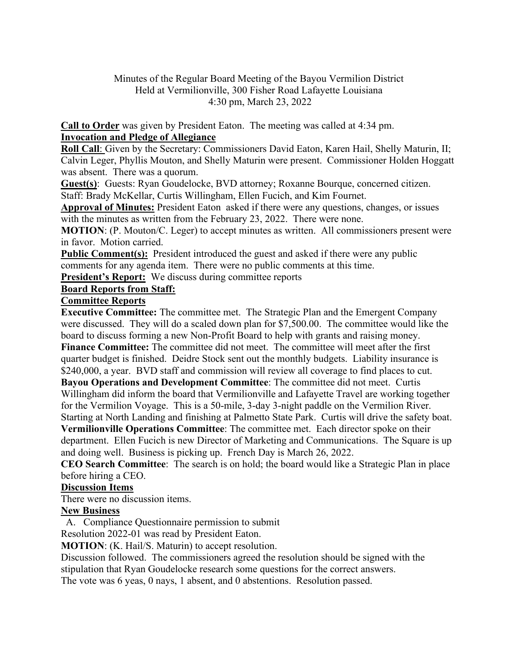# Minutes of the Regular Board Meeting of the Bayou Vermilion District Held at Vermilionville, 300 Fisher Road Lafayette Louisiana 4:30 pm, March 23, 2022

**Call to Order** was given by President Eaton. The meeting was called at 4:34 pm. **Invocation and Pledge of Allegiance** 

**Roll Call**: Given by the Secretary: Commissioners David Eaton, Karen Hail, Shelly Maturin, II; Calvin Leger, Phyllis Mouton, and Shelly Maturin were present. Commissioner Holden Hoggatt was absent. There was a quorum.

**Guest(s)**: Guests: Ryan Goudelocke, BVD attorney; Roxanne Bourque, concerned citizen. Staff: Brady McKellar, Curtis Willingham, Ellen Fucich, and Kim Fournet.

**Approval of Minutes:** President Eaton asked if there were any questions, changes, or issues with the minutes as written from the February 23, 2022. There were none.

**MOTION**: (P. Mouton/C. Leger) to accept minutes as written. All commissioners present were in favor. Motion carried.

**Public Comment(s):** President introduced the guest and asked if there were any public comments for any agenda item. There were no public comments at this time.

**President's Report:** We discuss during committee reports

# **Board Reports from Staff:**

#### **Committee Reports**

**Executive Committee:** The committee met. The Strategic Plan and the Emergent Company were discussed. They will do a scaled down plan for \$7,500.00. The committee would like the board to discuss forming a new Non-Profit Board to help with grants and raising money. **Finance Committee:** The committee did not meet. The committee will meet after the first quarter budget is finished. Deidre Stock sent out the monthly budgets. Liability insurance is \$240,000, a year. BVD staff and commission will review all coverage to find places to cut.

**Bayou Operations and Development Committee**: The committee did not meet. Curtis Willingham did inform the board that Vermilionville and Lafayette Travel are working together for the Vermilion Voyage. This is a 50-mile, 3-day 3-night paddle on the Vermilion River.

Starting at North Landing and finishing at Palmetto State Park. Curtis will drive the safety boat. **Vermilionville Operations Committee**: The committee met. Each director spoke on their department. Ellen Fucich is new Director of Marketing and Communications. The Square is up

and doing well. Business is picking up. French Day is March 26, 2022.

**CEO Search Committee**: The search is on hold; the board would like a Strategic Plan in place before hiring a CEO.

# **Discussion Items**

There were no discussion items.

# **New Business**

A. Compliance Questionnaire permission to submit

Resolution 2022-01 was read by President Eaton.

**MOTION**: (K. Hail/S. Maturin) to accept resolution.

Discussion followed. The commissioners agreed the resolution should be signed with the stipulation that Ryan Goudelocke research some questions for the correct answers.

The vote was 6 yeas, 0 nays, 1 absent, and 0 abstentions. Resolution passed.